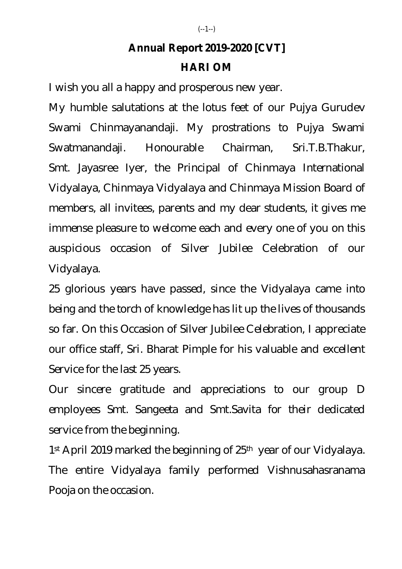## **Annual Report 2019-2020 [CVT]**

## **HARI OM**

I wish you all a happy and prosperous new year.

My humble salutations at the lotus feet of our Pujya Gurudev Swami Chinmayanandaji. My prostrations to Pujya Swami Swatmanandaji. Honourable Chairman, Sri.T.B.Thakur, Smt. Jayasree Iyer, the Principal of Chinmaya International Vidyalaya, Chinmaya Vidyalaya and Chinmaya Mission Board of members, all invitees, parents and my dear students, it gives me immense pleasure to welcome each and every one of you on this auspicious occasion of Silver Jubilee Celebration of our Vidyalaya.

25 glorious years have passed, since the Vidyalaya came into being and the torch of knowledge has lit up the lives of thousands so far. On this Occasion of Silver Jubilee Celebration, I appreciate our office staff, Sri. Bharat Pimple for his valuable and excellent Service for the last 25 years.

Our sincere gratitude and appreciations to our group D employees Smt. Sangeeta and Smt.Savita for their dedicated service from the beginning.

1 st April 2019 marked the beginning of 25th year of our Vidyalaya. The entire Vidyalaya family performed Vishnusahasranama Pooja on the occasion.

## (--1--)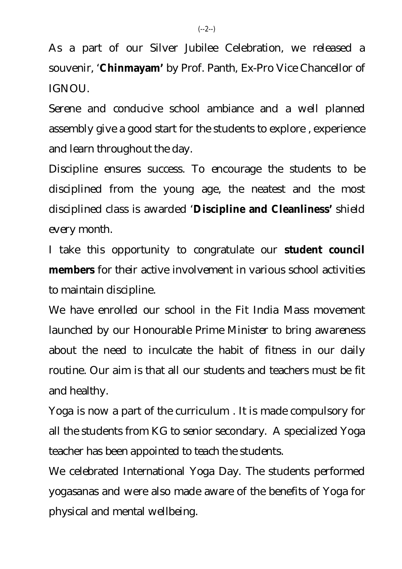As a part of our Silver Jubilee Celebration, we released a souvenir, '**Chinmayam'** by Prof. Panth, Ex-Pro Vice Chancellor of IGNOU.

Serene and conducive school ambiance and a well planned assembly give a good start for the students to explore , experience and learn throughout the day.

Discipline ensures success. To encourage the students to be disciplined from the young age, the neatest and the most disciplined class is awarded '**Discipline and Cleanliness'** shield every month.

I take this opportunity to congratulate our **student council members** for their active involvement in various school activities to maintain discipline.

We have enrolled our school in the Fit India Mass movement launched by our Honourable Prime Minister to bring awareness about the need to inculcate the habit of fitness in our daily routine. Our aim is that all our students and teachers must be fit and healthy.

Yoga is now a part of the curriculum . It is made compulsory for all the students from KG to senior secondary. A specialized Yoga teacher has been appointed to teach the students.

We celebrated International Yoga Day. The students performed yogasanas and were also made aware of the benefits of Yoga for physical and mental wellbeing.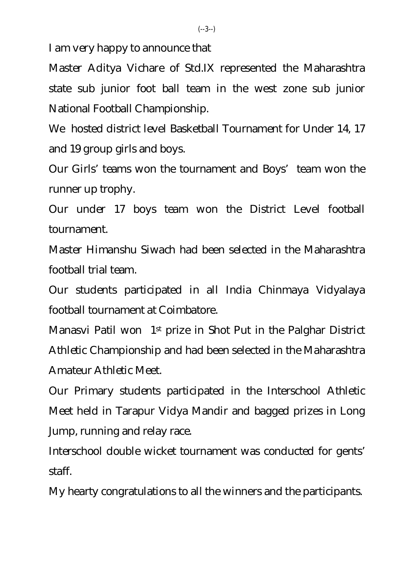I am very happy to announce that

Master Aditya Vichare of Std.IX represented the Maharashtra state sub junior foot ball team in the west zone sub junior National Football Championship.

We hosted district level Basketball Tournament for Under 14, 17 and 19 group girls and boys.

Our Girls' teams won the tournament and Boys' team won the runner up trophy.

Our under 17 boys team won the District Level football tournament.

Master Himanshu Siwach had been selected in the Maharashtra football trial team.

Our students participated in all India Chinmaya Vidyalaya football tournament at Coimbatore.

Manasvi Patil won 1st prize in Shot Put in the Palghar District Athletic Championship and had been selected in the Maharashtra Amateur Athletic Meet.

Our Primary students participated in the Interschool Athletic Meet held in Tarapur Vidya Mandir and bagged prizes in Long Jump, running and relay race.

Interschool double wicket tournament was conducted for gents' staff.

My hearty congratulations to all the winners and the participants.

 $(-3-)$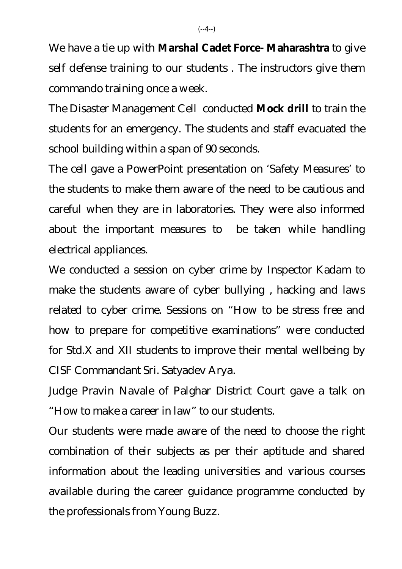We have a tie up with **Marshal Cadet Force- Maharashtra** to give self defense training to our students . The instructors give them commando training once a week.

The Disaster Management Cell conducted **Mock drill** to train the students for an emergency. The students and staff evacuated the school building within a span of 90 seconds.

The cell gave a PowerPoint presentation on 'Safety Measures' to the students to make them aware of the need to be cautious and careful when they are in laboratories. They were also informed about the important measures to be taken while handling electrical appliances.

We conducted a session on cyber crime by Inspector Kadam to make the students aware of cyber bullying , hacking and laws related to cyber crime. Sessions on "How to be stress free and how to prepare for competitive examinations" were conducted for Std.X and XII students to improve their mental wellbeing by CISF Commandant Sri. Satyadev Arya.

Judge Pravin Navale of Palghar District Court gave a talk on "How to make a career in law" to our students.

Our students were made aware of the need to choose the right combination of their subjects as per their aptitude and shared information about the leading universities and various courses available during the career guidance programme conducted by the professionals from Young Buzz.

 $(-4-)$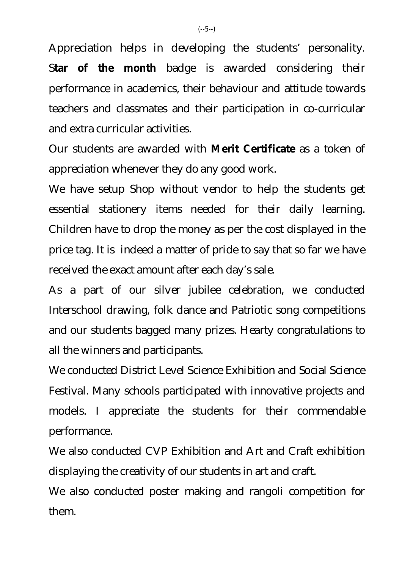Appreciation helps in developing the students' personality. S**tar of the month** badge is awarded considering their performance in academics, their behaviour and attitude towards teachers and classmates and their participation in co-curricular and extra curricular activities.

Our students are awarded with **Merit Certificate** as a token of appreciation whenever they do any good work.

We have setup Shop without vendor to help the students get essential stationery items needed for their daily learning. Children have to drop the money as per the cost displayed in the price tag. It is indeed a matter of pride to say that so far we have received the exact amount after each day's sale.

As a part of our silver jubilee celebration, we conducted Interschool drawing, folk dance and Patriotic song competitions and our students bagged many prizes. Hearty congratulations to all the winners and participants.

We conducted District Level Science Exhibition and Social Science Festival. Many schools participated with innovative projects and models. I appreciate the students for their commendable performance.

We also conducted CVP Exhibition and Art and Craft exhibition displaying the creativity of our students in art and craft.

We also conducted poster making and rangoli competition for them.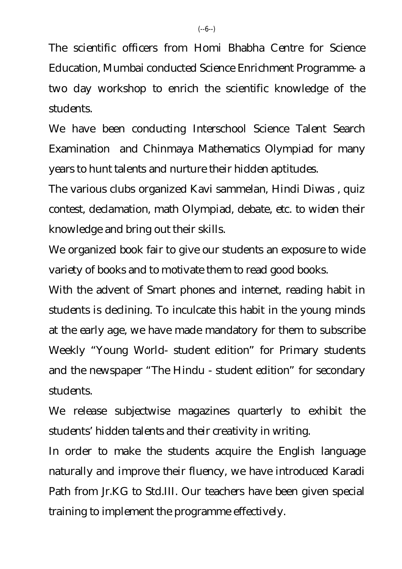The scientific officers from Homi Bhabha Centre for Science Education, Mumbai conducted Science Enrichment Programme- a two day workshop to enrich the scientific knowledge of the students.

We have been conducting Interschool Science Talent Search Examination and Chinmaya Mathematics Olympiad for many years to hunt talents and nurture their hidden aptitudes.

The various clubs organized Kavi sammelan, Hindi Diwas , quiz contest, declamation, math Olympiad, debate, etc. to widen their knowledge and bring out their skills.

We organized book fair to give our students an exposure to wide variety of books and to motivate them to read good books.

With the advent of Smart phones and internet, reading habit in students is declining. To inculcate this habit in the young minds at the early age, we have made mandatory for them to subscribe Weekly "Young World- student edition" for Primary students and the newspaper "The Hindu - student edition" for secondary students.

We release subjectwise magazines quarterly to exhibit the students' hidden talents and their creativity in writing.

In order to make the students acquire the English language naturally and improve their fluency, we have introduced Karadi Path from Jr.KG to Std.III. Our teachers have been given special training to implement the programme effectively.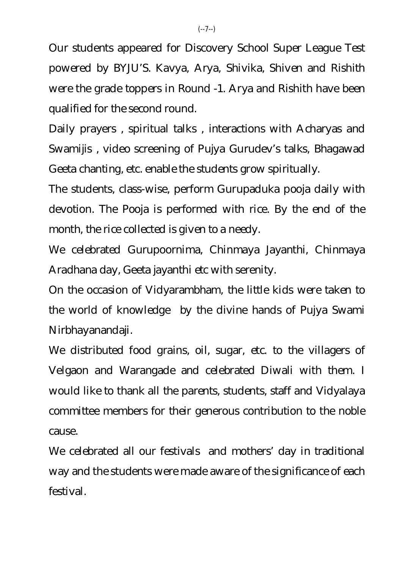Our students appeared for Discovery School Super League Test powered by BYJU'S. Kavya, Arya, Shivika, Shiven and Rishith were the grade toppers in Round -1. Arya and Rishith have been qualified for the second round.

Daily prayers , spiritual talks , interactions with Acharyas and Swamijis , video screening of Pujya Gurudev's talks, Bhagawad Geeta chanting, etc. enable the students grow spiritually.

The students, class-wise, perform Gurupaduka pooja daily with devotion. The Pooja is performed with rice. By the end of the month, the rice collected is given to a needy.

We celebrated Gurupoornima, Chinmaya Jayanthi, Chinmaya Aradhana day, Geeta jayanthi etc with serenity.

On the occasion of Vidyarambham, the little kids were taken to the world of knowledge by the divine hands of Pujya Swami Nirbhayanandaji.

We distributed food grains, oil, sugar, etc. to the villagers of Velgaon and Warangade and celebrated Diwali with them. I would like to thank all the parents, students, staff and Vidyalaya committee members for their generous contribution to the noble cause.

We celebrated all our festivals and mothers' day in traditional way and the students were made aware of the significance of each festival.

 $(-7-)$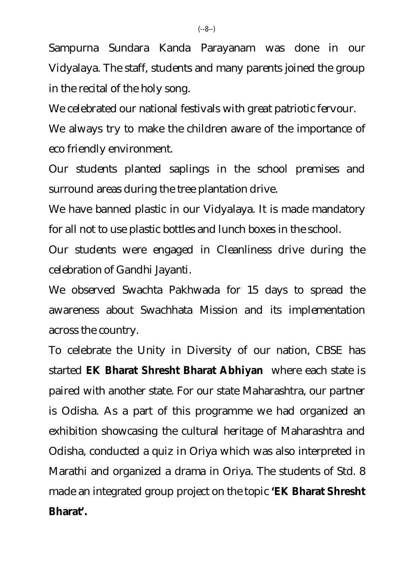Sampurna Sundara Kanda Parayanam was done in our Vidyalaya. The staff, students and many parents joined the group in the recital of the holy song.

We celebrated our national festivals with great patriotic fervour.

We always try to make the children aware of the importance of eco friendly environment.

Our students planted saplings in the school premises and surround areas during the tree plantation drive.

We have banned plastic in our Vidyalaya. It is made mandatory for all not to use plastic bottles and lunch boxes in the school.

Our students were engaged in Cleanliness drive during the celebration of Gandhi Jayanti.

We observed Swachta Pakhwada for 15 days to spread the awareness about Swachhata Mission and its implementation across the country.

To celebrate the Unity in Diversity of our nation, CBSE has started **EK Bharat Shresht Bharat Abhiyan** where each state is paired with another state. For our state Maharashtra, our partner is Odisha. As a part of this programme we had organized an exhibition showcasing the cultural heritage of Maharashtra and Odisha, conducted a quiz in Oriya which was also interpreted in Marathi and organized a drama in Oriya. The students of Std. 8 made an integrated group project on the topic **'EK Bharat Shresht Bharat'.**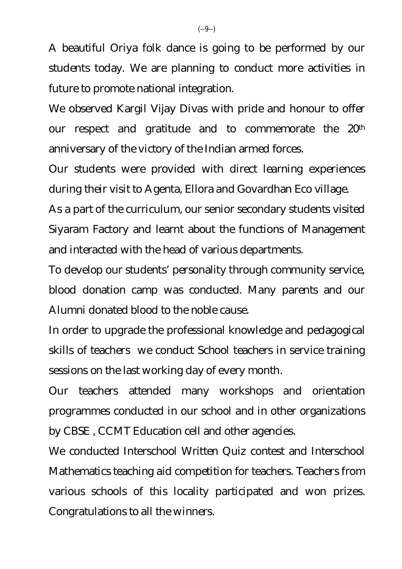A beautiful Oriya folk dance is going to be performed by our students today. We are planning to conduct more activities in future to promote national integration.

We observed Kargil Vijay Divas with pride and honour to offer our respect and gratitude and to commemorate the 20th anniversary of the victory of the Indian armed forces.

Our students were provided with direct learning experiences during their visit to Agenta, Ellora and Govardhan Eco village.

As a part of the curriculum, our senior secondary students visited Siyaram Factory and learnt about the functions of Management and interacted with the head of various departments.

To develop our students' personality through community service, blood donation camp was conducted. Many parents and our Alumni donated blood to the noble cause.

In order to upgrade the professional knowledge and pedagogical skills of teachers we conduct School teachers in service training sessions on the last working day of every month.

Our teachers attended many workshops and orientation programmes conducted in our school and in other organizations by CBSE , CCMT Education cell and other agencies.

We conducted Interschool Written Quiz contest and Interschool Mathematics teaching aid competition for teachers. Teachers from various schools of this locality participated and won prizes. Congratulations to all the winners.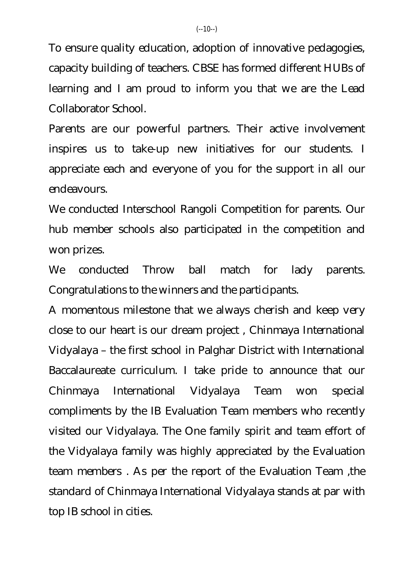To ensure quality education, adoption of innovative pedagogies, capacity building of teachers. CBSE has formed different HUBs of learning and I am proud to inform you that we are the Lead Collaborator School.

Parents are our powerful partners. Their active involvement inspires us to take-up new initiatives for our students. I appreciate each and everyone of you for the support in all our endeavours.

We conducted Interschool Rangoli Competition for parents. Our hub member schools also participated in the competition and won prizes.

We conducted Throw ball match for lady parents. Congratulations to the winners and the participants.

A momentous milestone that we always cherish and keep very close to our heart is our dream project , Chinmaya International Vidyalaya – the first school in Palghar District with International Baccalaureate curriculum. I take pride to announce that our Chinmaya International Vidyalaya Team won special compliments by the IB Evaluation Team members who recently visited our Vidyalaya. The One family spirit and team effort of the Vidyalaya family was highly appreciated by the Evaluation team members . As per the report of the Evaluation Team ,the standard of Chinmaya International Vidyalaya stands at par with top IB school in cities.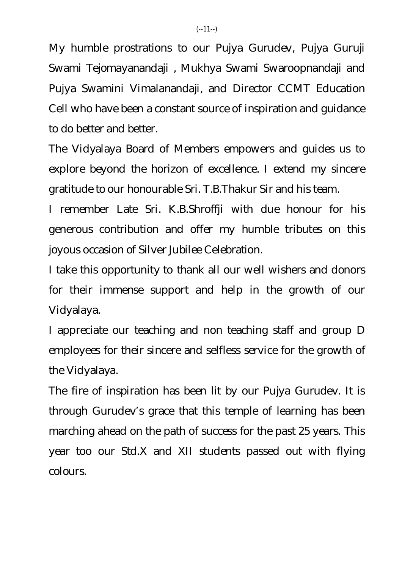My humble prostrations to our Pujya Gurudev, Pujya Guruji Swami Tejomayanandaji , Mukhya Swami Swaroopnandaji and Pujya Swamini Vimalanandaji, and Director CCMT Education Cell who have been a constant source of inspiration and guidance to do better and better.

The Vidyalaya Board of Members empowers and guides us to explore beyond the horizon of excellence. I extend my sincere gratitude to our honourable Sri. T.B.Thakur Sir and his team.

I remember Late Sri. K.B.Shroffji with due honour for his generous contribution and offer my humble tributes on this joyous occasion of Silver Jubilee Celebration.

I take this opportunity to thank all our well wishers and donors for their immense support and help in the growth of our Vidyalaya.

I appreciate our teaching and non teaching staff and group D employees for their sincere and selfless service for the growth of the Vidyalaya.

The fire of inspiration has been lit by our Pujya Gurudev. It is through Gurudev's grace that this temple of learning has been marching ahead on the path of success for the past 25 years. This year too our Std.X and XII students passed out with flying colours.